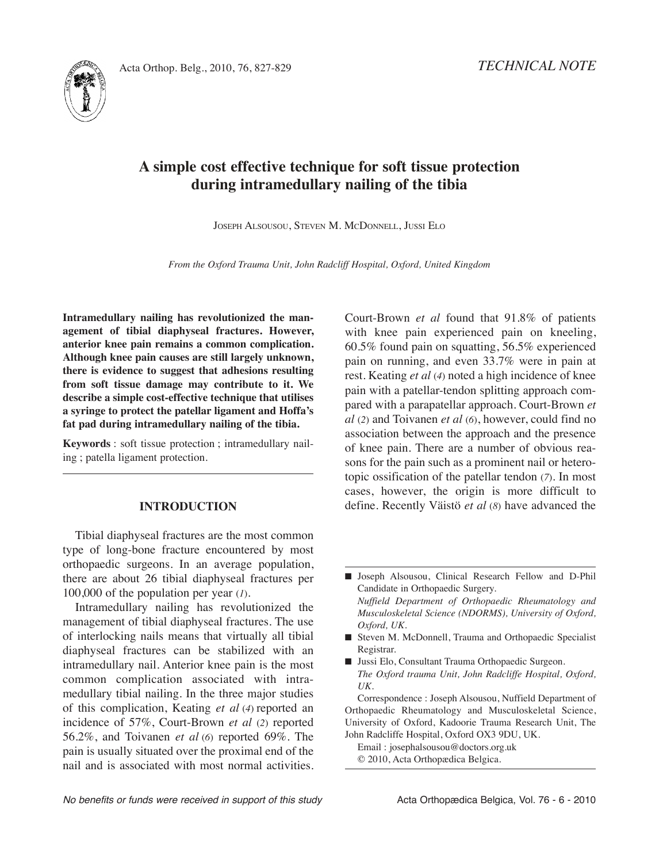



# **A simple cost effective technique for soft tissue protection during intramedullary nailing of the tibia**

JOSEPH AlSOUSOU, STEvEN M. MCDONNEll, JUSSi ElO

*From the Oxford Trauma Unit, John Radcliff Hospital, Oxford, United Kingdom*

**Intramedullary nailing has revolutionized the management of tibial diaphyseal fractures. However, anterior knee pain remains a common complication. Although knee pain causes are still largely unknown, there is evidence to suggest that adhesions resulting from soft tissue damage may contribute to it. We describe a simple cost-effective technique that utilises a syringe to protect the patellar ligament and Hoffa's fat pad during intramedullary nailing of the tibia.**

**Keywords** : soft tissue protection ; intramedullary nailing ; patella ligament protection.

#### **INTRODUCTION**

Tibial diaphyseal fractures are the most common type of long-bone fracture encountered by most orthopaedic surgeons. in an average population, there are about 26 tibial diaphyseal fractures per 100,000 of the population per year (*1*)*.*

Intramedullary nailing has revolutionized the management of tibial diaphyseal fractures. The use of interlocking nails means that virtually all tibial diaphyseal fractures can be stabilized with an intramedullary nail. Anterior knee pain is the most common complication associated with intramedullary tibial nailing. In the three major studies of this complication, Keating *et al* (*4*) reported an incidence of 57%, Court-Brown *et al* (*2*) reported 56.2%, and Toivanen *et al* (*6*) reported 69%. The pain is usually situated over the proximal end of the nail and is associated with most normal activities. Court-Brown *et al* found that 91.8% of patients with knee pain experienced pain on kneeling, 60.5% found pain on squatting, 56.5% experienced pain on running, and even 33.7% were in pain at rest. Keating *et al* (*4*) noted a high incidence of knee pain with a patellar-tendon splitting approach compared with a parapatellar approach. Court-Brown *et al* (*2*) and Toivanen *et al* (*6*), however, could find no association between the approach and the presence of knee pain. There are a number of obvious reasons for the pain such as a prominent nail or heterotopic ossification of the patellar tendon (7). In most cases, however, the origin is more difficult to define. Recently väistö *et al* (*8*) have advanced the

Correspondence : Joseph Alsousou, Nuffield Department of Orthopaedic Rheumatology and Musculoskeletal Science, University of Oxford, Kadoorie Trauma Research Unit, The John Radcliffe Hospital, Oxford OX3 9DU, UK.

Email : josephalsousou@doctors.org.uk © 2010, Acta Orthopædica Belgica.

No benefits or funds were received in support of this study extending Acta Orthopædica Belgica, Vol. 76 - 6 - 2010

**<sup>■</sup>** Joseph Alsousou, Clinical Research Fellow and D-Phil Candidate in Orthopaedic Surgery. *Nuffield Department of Orthopaedic Rheumatology and Musculoskeletal Science (NDORMS), University of Oxford, Oxford, UK.*

<sup>■</sup> Steven M. McDonnell, Trauma and Orthopaedic Specialist Registrar.

<sup>■</sup> Jussi Elo, Consultant Trauma Orthopaedic Surgeon. *The Oxford trauma Unit, John Radcliffe Hospital, Oxford, UK.*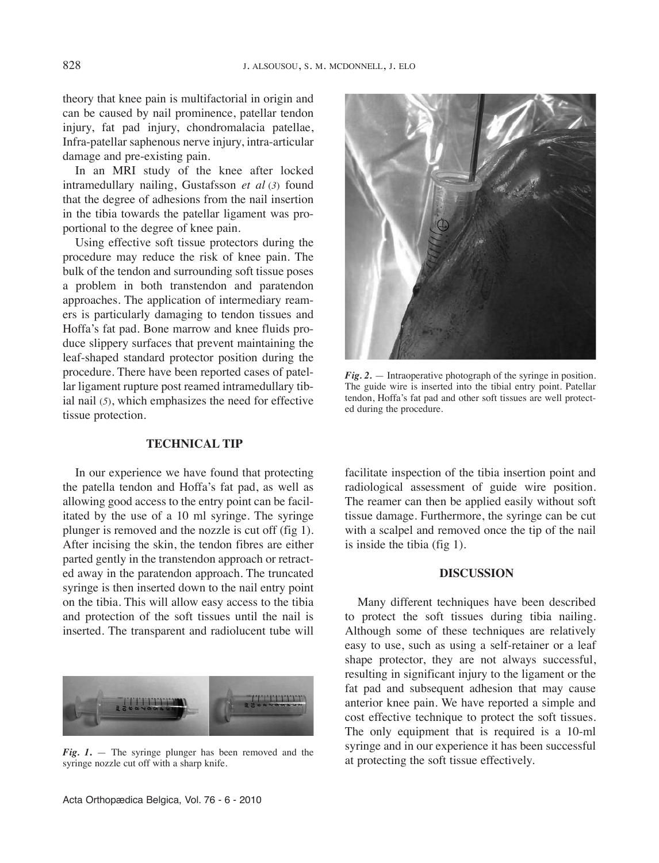theory that knee pain is multifactorial in origin and can be caused by nail prominence, patellar tendon injury, fat pad injury, chondromalacia patellae, Infra-patellar saphenous nerve injury, intra-articular damage and pre-existing pain.

In an MRI study of the knee after locked intramedullary nailing, Gustafsson *et al* (*3*) found that the degree of adhesions from the nail insertion in the tibia towards the patellar ligament was proportional to the degree of knee pain.

Using effective soft tissue protectors during the procedure may reduce the risk of knee pain. The bulk of the tendon and surrounding soft tissue poses a problem in both transtendon and paratendon approaches. The application of intermediary reamers is particularly damaging to tendon tissues and Hoffa's fat pad. Bone marrow and knee fluids produce slippery surfaces that prevent maintaining the leaf-shaped standard protector position during the procedure. There have been reported cases of patellar ligament rupture post reamed intramedullary tibial nail (*5*), which emphasizes the need for effective tissue protection.

## **TeCHNICAl TIp**

In our experience we have found that protecting the patella tendon and Hoffa's fat pad, as well as allowing good access to the entry point can be facilitated by the use of a 10 ml syringe. The syringe plunger is removed and the nozzle is cut off (fig 1). After incising the skin, the tendon fibres are either parted gently in the transtendon approach or retracted away in the paratendon approach. The truncated syringe is then inserted down to the nail entry point on the tibia. This will allow easy access to the tibia and protection of the soft tissues until the nail is inserted. The transparent and radiolucent tube will



*Fig. 1***.** — The syringe plunger has been removed and the syringe nozzle cut off with a sharp knife.



*Fig. 2.* — intraoperative photograph of the syringe in position. The guide wire is inserted into the tibial entry point. Patellar tendon, Hoffa's fat pad and other soft tissues are well protected during the procedure.

facilitate inspection of the tibia insertion point and radiological assessment of guide wire position. The reamer can then be applied easily without soft tissue damage. Furthermore, the syringe can be cut with a scalpel and removed once the tip of the nail is inside the tibia (fig 1).

## **DISCUSSION**

Many different techniques have been described to protect the soft tissues during tibia nailing. Although some of these techniques are relatively easy to use, such as using a self-retainer or a leaf shape protector, they are not always successful, resulting in significant injury to the ligament or the fat pad and subsequent adhesion that may cause anterior knee pain. We have reported a simple and cost effective technique to protect the soft tissues. The only equipment that is required is a 10-ml syringe and in our experience it has been successful at protecting the soft tissue effectively.